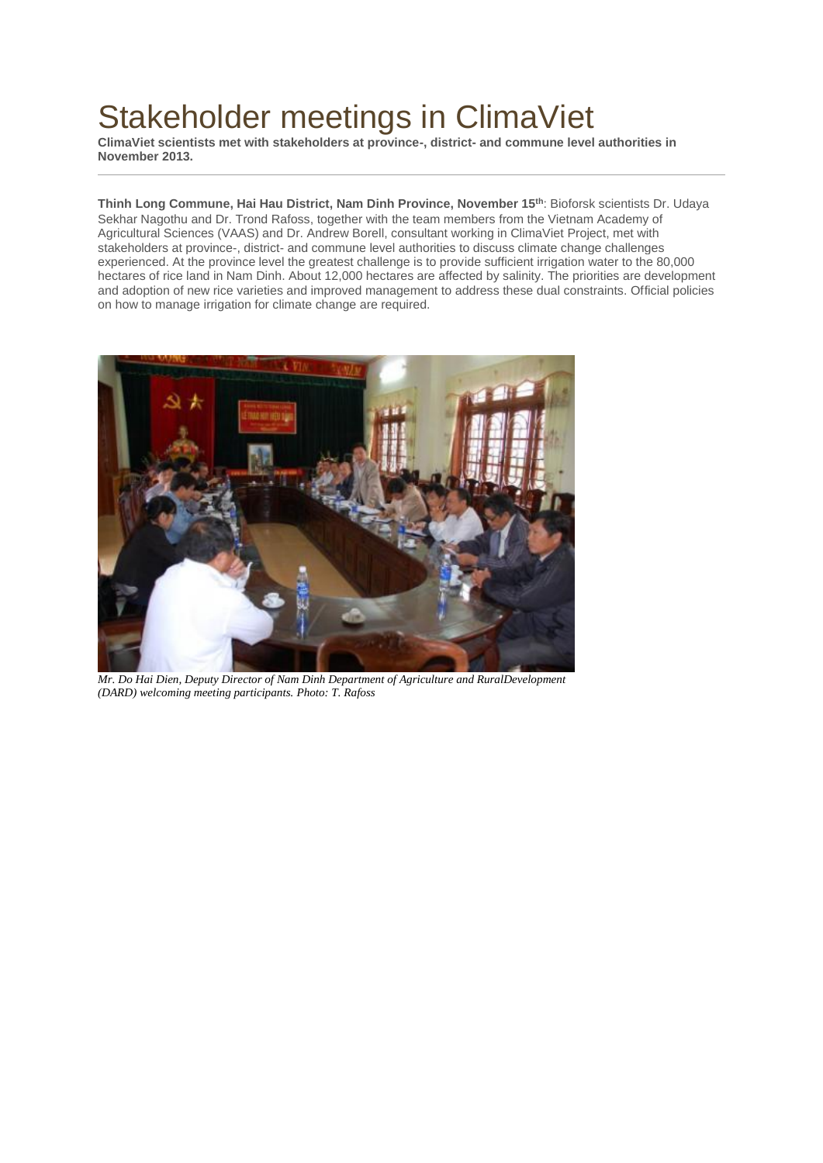## Stakeholder meetings in ClimaViet

**ClimaViet scientists met with stakeholders at province-, district- and commune level authorities in November 2013.**

**Thinh Long Commune, Hai Hau District, Nam Dinh Province, November 15th**: Bioforsk scientists Dr. Udaya Sekhar Nagothu and Dr. Trond Rafoss, together with the team members from the Vietnam Academy of Agricultural Sciences (VAAS) and Dr. Andrew Borell, consultant working in ClimaViet Project, met with stakeholders at province-, district- and commune level authorities to discuss climate change challenges experienced. At the province level the greatest challenge is to provide sufficient irrigation water to the 80,000 hectares of rice land in Nam Dinh. About 12,000 hectares are affected by salinity. The priorities are development and adoption of new rice varieties and improved management to address these dual constraints. Official policies on how to manage irrigation for climate change are required.



*Mr. Do Hai Dien, Deputy Director of Nam Dinh Department of Agriculture and RuralDevelopment (DARD) welcoming meeting participants. Photo: T. Rafoss*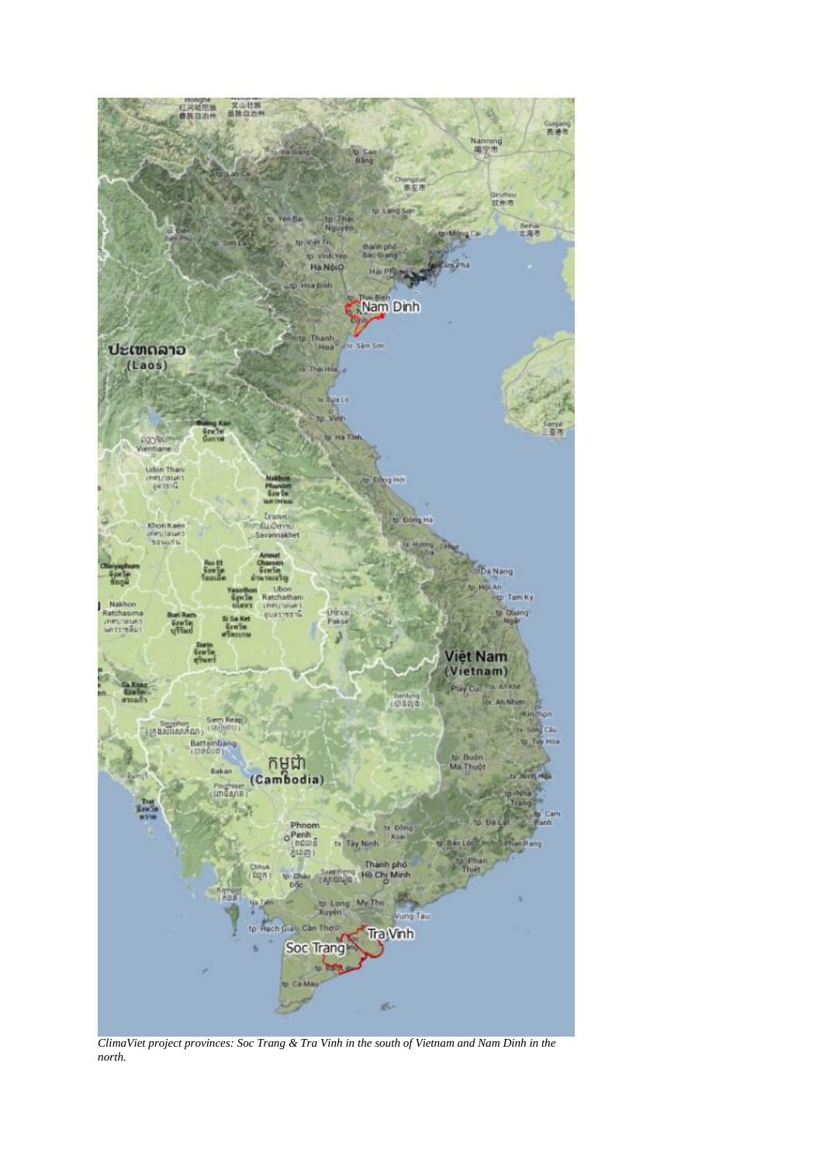

*ClimaViet project provinces: Soc Trang & Tra Vinh in the south of Vietnam and Nam Dinh in the north.*